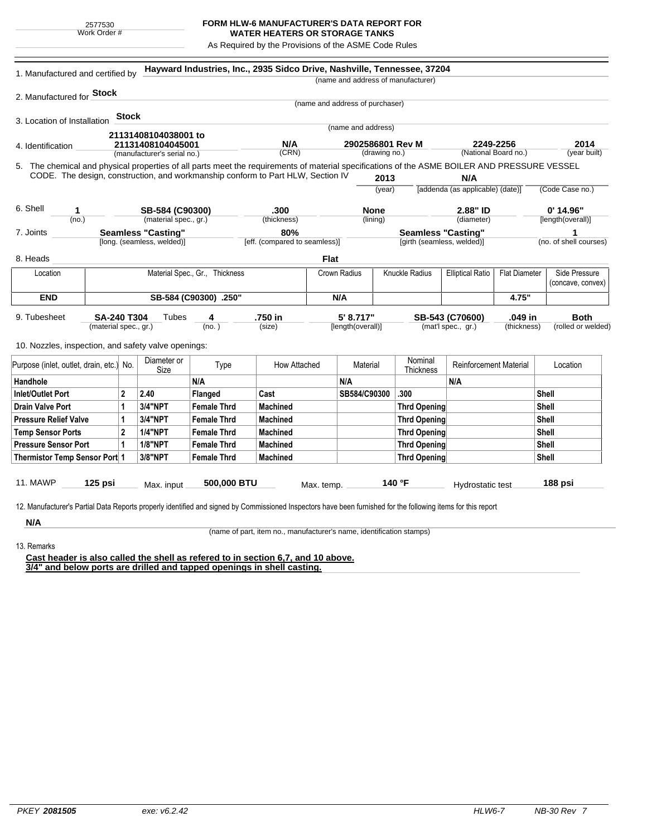## **FORM HLW-6 MANUFACTURER'S DATA REPORT FOR WATER HEATERS OR STORAGE TANKS**

As Required by the Provisions of the ASME Code Rules

| 1. Manufactured and certified by                                                                                                             |                           |                |                                           |                                                                                 |                               | Hayward Industries, Inc., 2935 Sidco Drive, Nashville, Tennessee, 37204<br>(name and address of manufacturer) |                  |                                       |                                                 |                        |                        |
|----------------------------------------------------------------------------------------------------------------------------------------------|---------------------------|----------------|-------------------------------------------|---------------------------------------------------------------------------------|-------------------------------|---------------------------------------------------------------------------------------------------------------|------------------|---------------------------------------|-------------------------------------------------|------------------------|------------------------|
|                                                                                                                                              |                           |                |                                           |                                                                                 |                               |                                                                                                               |                  |                                       |                                                 |                        |                        |
| 2. Manufactured for Stock                                                                                                                    |                           |                |                                           |                                                                                 |                               | (name and address of purchaser)                                                                               |                  |                                       |                                                 |                        |                        |
|                                                                                                                                              |                           | Stock          |                                           |                                                                                 |                               |                                                                                                               |                  |                                       |                                                 |                        |                        |
| 3. Location of Installation                                                                                                                  |                           |                |                                           |                                                                                 |                               | (name and address)                                                                                            |                  |                                       |                                                 |                        |                        |
|                                                                                                                                              |                           |                | 21131408104038001 to<br>21131408104045001 |                                                                                 | N/A                           |                                                                                                               | 2902586801 Rev M |                                       | 2249-2256                                       |                        | 2014                   |
| 4. Identification                                                                                                                            |                           |                | (manufacturer's serial no.)               |                                                                                 | (CRN)                         | (drawing no.)                                                                                                 |                  | (National Board no.)                  |                                                 | (year built)           |                        |
| 5. The chemical and physical properties of all parts meet the requirements of material specifications of the ASME BOILER AND PRESSURE VESSEL |                           |                |                                           |                                                                                 |                               |                                                                                                               |                  |                                       |                                                 |                        |                        |
|                                                                                                                                              |                           |                |                                           | CODE. The design, construction, and workmanship conform to Part HLW, Section IV |                               |                                                                                                               | 2013             |                                       | N/A                                             |                        |                        |
|                                                                                                                                              |                           |                |                                           |                                                                                 |                               |                                                                                                               | (year)           |                                       | [addenda (as applicable) (date)]                |                        | (Code Case no.)        |
| 6. Shell                                                                                                                                     |                           |                |                                           |                                                                                 |                               |                                                                                                               |                  |                                       |                                                 |                        | $0'$ 14.96"            |
| 1<br>(no.)                                                                                                                                   |                           |                | SB-584 (C90300)<br>(material spec., gr.)  |                                                                                 | .300<br>(thickness)           | <b>None</b><br>(lining)                                                                                       |                  |                                       | 2.88" ID<br>(diameter)                          |                        | [length(overall)]      |
| 7. Joints                                                                                                                                    | <b>Seamless "Casting"</b> |                |                                           |                                                                                 | 80%                           |                                                                                                               |                  |                                       | <b>Seamless "Casting"</b>                       |                        | 1                      |
|                                                                                                                                              |                           |                | [long. (seamless, welded)]                |                                                                                 | [eff. (compared to seamless)] |                                                                                                               |                  | [girth (seamless, welded)]            |                                                 |                        | (no. of shell courses) |
| 8. Heads                                                                                                                                     |                           |                |                                           |                                                                                 |                               | Flat                                                                                                          |                  |                                       |                                                 |                        |                        |
| Location                                                                                                                                     |                           |                |                                           | Material Spec., Gr., Thickness                                                  |                               | <b>Crown Radius</b>                                                                                           | Knuckle Radius   |                                       | <b>Elliptical Ratio</b><br><b>Flat Diameter</b> |                        | Side Pressure          |
|                                                                                                                                              |                           |                |                                           |                                                                                 |                               |                                                                                                               |                  |                                       |                                                 |                        | (concave, convex)      |
| <b>END</b><br>SB-584 (C90300) .250"                                                                                                          |                           |                |                                           |                                                                                 | N/A                           |                                                                                                               |                  |                                       | 4.75"                                           |                        |                        |
|                                                                                                                                              |                           |                |                                           |                                                                                 |                               |                                                                                                               |                  |                                       |                                                 |                        | <b>Both</b>            |
| 9. Tubesheet<br><b>SA-240 T304</b><br>(material spec., gr.)                                                                                  |                           |                | Tubes<br>4<br>(no.)                       |                                                                                 | .750 in<br>(size)             | 5' 8.717"<br>[length(overall)]                                                                                |                  | SB-543 (C70600)<br>(mat'l spec., gr.) |                                                 | .049 in<br>(thickness) | (rolled or welded)     |
|                                                                                                                                              |                           |                |                                           |                                                                                 |                               |                                                                                                               |                  |                                       |                                                 |                        |                        |
| 10. Nozzles, inspection, and safety valve openings:                                                                                          |                           |                |                                           |                                                                                 |                               |                                                                                                               |                  |                                       |                                                 |                        |                        |
| Purpose (inlet, outlet, drain, etc.) No.                                                                                                     |                           |                | Diameter or<br>Size                       | Type                                                                            | How Attached                  |                                                                                                               | Material         | Nominal<br>Thickness                  | <b>Reinforcement Material</b>                   |                        | Location               |
| Handhole                                                                                                                                     |                           |                |                                           | N/A                                                                             |                               | N/A                                                                                                           |                  |                                       | N/A                                             |                        |                        |
| <b>Inlet/Outlet Port</b>                                                                                                                     |                           | $\mathbf{2}$   | 2.40                                      | Flanged                                                                         | Cast                          | SB584/C90300                                                                                                  |                  | .300                                  |                                                 |                        | <b>Shell</b>           |
| <b>Drain Valve Port</b>                                                                                                                      |                           | $\mathbf{1}$   | 3/4"NPT                                   | <b>Female Thrd</b>                                                              | <b>Machined</b>               |                                                                                                               |                  | Thrd Opening                          |                                                 |                        | <b>Shell</b>           |
| <b>Pressure Relief Valve</b>                                                                                                                 |                           | 1              | 3/4"NPT                                   | <b>Female Thrd</b>                                                              | <b>Machined</b>               |                                                                                                               |                  | <b>Thrd Opening</b>                   |                                                 |                        | <b>Shell</b>           |
| <b>Temp Sensor Ports</b>                                                                                                                     |                           | $\overline{2}$ | <b>1/4"NPT</b>                            | <b>Female Thrd</b>                                                              | <b>Machined</b>               |                                                                                                               |                  | Thrd Opening                          |                                                 |                        | Shell                  |
| <b>Pressure Sensor Port</b>                                                                                                                  |                           | $\mathbf{1}$   | <b>1/8"NPT</b>                            | <b>Female Thrd</b>                                                              | <b>Machined</b>               |                                                                                                               |                  | <b>Thrd Opening</b>                   |                                                 |                        | Shell                  |
| Thermistor Temp Sensor Port 1                                                                                                                |                           |                | 3/8"NPT                                   | <b>Female Thrd</b>                                                              | <b>Machined</b>               |                                                                                                               |                  | <b>Thrd Opening</b>                   |                                                 |                        | <b>Shell</b>           |
|                                                                                                                                              |                           |                |                                           |                                                                                 |                               |                                                                                                               |                  |                                       |                                                 |                        |                        |
| 11. MAWP<br>125 psi                                                                                                                          |                           | Max. input     |                                           | 500,000 BTU                                                                     |                               | 140 °F<br>Max. temp.                                                                                          |                  |                                       | Hydrostatic test                                |                        | 188 psi                |

**N/A** 13. Remarks

(name of part, item no., manufacturer's name, identification stamps)

**Cast header is also called the shell as refered to in section 6,7, and 10 above. 3/4" and below ports are drilled and tapped openings in shell casting.**